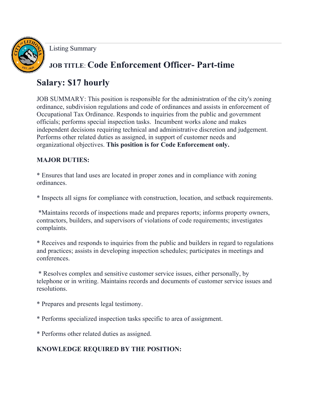Listing Summary

# **JOB TITLE**: **Code Enforcement Officer- Part-time**

## **Salary: \$17 hourly**

JOB SUMMARY: This position is responsible for the administration of the city's zoning ordinance, subdivision regulations and code of ordinances and assists in enforcement of Occupational Tax Ordinance. Responds to inquiries from the public and government officials; performs special inspection tasks. Incumbent works alone and makes independent decisions requiring technical and administrative discretion and judgement. Performs other related duties as assigned, in support of customer needs and organizational objectives. **This position is for Code Enforcement only.**

#### **MAJOR DUTIES:**

\* Ensures that land uses are located in proper zones and in compliance with zoning ordinances.

\* Inspects all signs for compliance with construction, location, and setback requirements.

\*Maintains records of inspections made and prepares reports; informs property owners, contractors, builders, and supervisors of violations of code requirements; investigates complaints.

\* Receives and responds to inquiries from the public and builders in regard to regulations and practices; assists in developing inspection schedules; participates in meetings and conferences.

\* Resolves complex and sensitive customer service issues, either personally, by telephone or in writing. Maintains records and documents of customer service issues and resolutions.

\* Prepares and presents legal testimony.

\* Performs specialized inspection tasks specific to area of assignment.

\* Performs other related duties as assigned.

### **KNOWLEDGE REQUIRED BY THE POSITION:**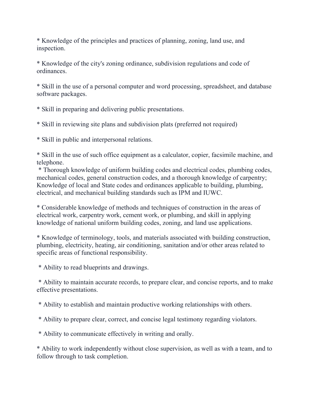\* Knowledge of the principles and practices of planning, zoning, land use, and inspection.

\* Knowledge of the city's zoning ordinance, subdivision regulations and code of ordinances.

\* Skill in the use of a personal computer and word processing, spreadsheet, and database software packages.

\* Skill in preparing and delivering public presentations.

\* Skill in reviewing site plans and subdivision plats (preferred not required)

\* Skill in public and interpersonal relations.

\* Skill in the use of such office equipment as a calculator, copier, facsimile machine, and telephone.

\* Thorough knowledge of uniform building codes and electrical codes, plumbing codes, mechanical codes, general construction codes, and a thorough knowledge of carpentry; Knowledge of local and State codes and ordinances applicable to building, plumbing, electrical, and mechanical building standards such as IPM and IUWC.

\* Considerable knowledge of methods and techniques of construction in the areas of electrical work, carpentry work, cement work, or plumbing, and skill in applying knowledge of national uniform building codes, zoning, and land use applications.

\* Knowledge of terminology, tools, and materials associated with building construction, plumbing, electricity, heating, air conditioning, sanitation and/or other areas related to specific areas of functional responsibility.

\* Ability to read blueprints and drawings.

\* Ability to maintain accurate records, to prepare clear, and concise reports, and to make effective presentations.

\* Ability to establish and maintain productive working relationships with others.

\* Ability to prepare clear, correct, and concise legal testimony regarding violators.

\* Ability to communicate effectively in writing and orally.

\* Ability to work independently without close supervision, as well as with a team, and to follow through to task completion.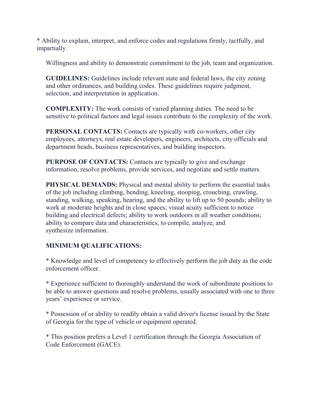\* Ability to explain, interpret, and enforce codes and regulations firmly, tactfully, and impartially.

Willingness and ability to demonstrate commitment to the job, team and organization.

**GUIDELINES:** Guidelines include relevant state and federal laws, the city zoning and other ordinances, and building codes. These guidelines require judgment, selection, and interpretation in application.

**COMPLEXITY:** The work consists of varied planning duties. The need to be sensitive to political factors and legal issues contribute to the complexity of the work.

**PERSONAL CONTACTS:** Contacts are typically with co-workers, other city employees, attorneys, real estate developers, engineers, architects, city officials and department heads, business representatives, and building inspectors.

**PURPOSE OF CONTACTS:** Contacts are typically to give and exchange information, resolve problems, provide services, and negotiate and settle matters.

**PHYSICAL DEMANDS:** Physical and mental ability to perform the essential tasks of the job including climbing, bending, kneeling, stooping, crouching, crawling, standing, walking, speaking, hearing, and the ability to lift up to 50 pounds; ability to work at moderate heights and in close spaces; visual acuity sufficient to notice building and electrical defects; ability to work outdoors in all weather conditions; ability to compare data and characteristics, to compile, analyze, and synthesize information.

#### **MINIMUM QUALIFICATIONS:**

\* Knowledge and level of competency to effectively perform the job duty as the code enforcement officer.

\* Experience sufficient to thoroughly understand the work of subordinate positions to be able to answer questions and resolve problems, usually associated with one to three years' experience or service.

\* Possession of or ability to readily obtain a valid driver's license issued by the State of Georgia for the type of vehicle or equipment operated.

\* This position prefers a Level 1 certification through the Georgia Association of Code Enforcement (GACE).